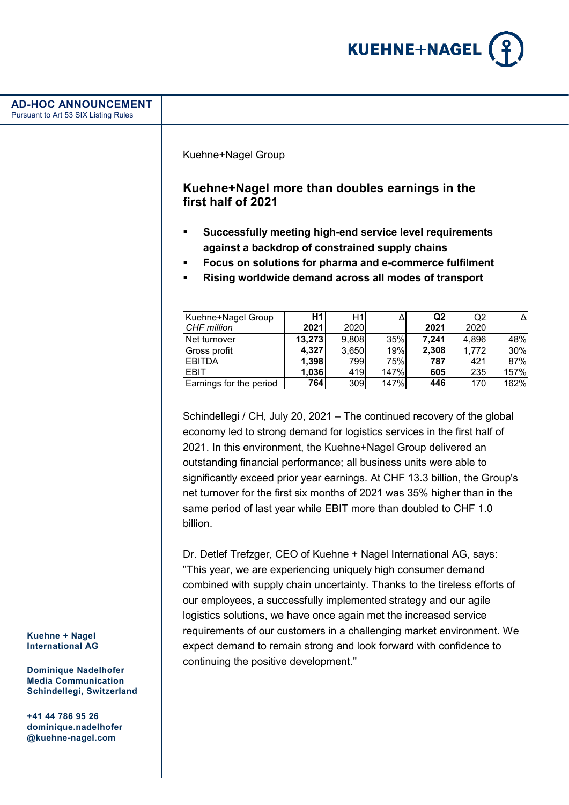

| <b>AD-HOC ANNOUNCEMENT</b><br>Pursuant to Art 53 SIX Listing Rules                                                                  |                                                                                                                                                                                                                                                                                                                                                                                                                                                                                                                                                   |                |              |            |              |              |            |
|-------------------------------------------------------------------------------------------------------------------------------------|---------------------------------------------------------------------------------------------------------------------------------------------------------------------------------------------------------------------------------------------------------------------------------------------------------------------------------------------------------------------------------------------------------------------------------------------------------------------------------------------------------------------------------------------------|----------------|--------------|------------|--------------|--------------|------------|
|                                                                                                                                     | Kuehne+Nagel Group<br>Kuehne+Nagel more than doubles earnings in the<br>first half of 2021<br>Successfully meeting high-end service level requirements<br>٠<br>against a backdrop of constrained supply chains                                                                                                                                                                                                                                                                                                                                    |                |              |            |              |              |            |
|                                                                                                                                     | Focus on solutions for pharma and e-commerce fulfilment<br>п<br>Rising worldwide demand across all modes of transport<br>٠                                                                                                                                                                                                                                                                                                                                                                                                                        |                |              |            |              |              |            |
|                                                                                                                                     | Kuehne+Nagel Group                                                                                                                                                                                                                                                                                                                                                                                                                                                                                                                                | H1             | H1           | Δ          | Q2           | Q2           | Δ          |
|                                                                                                                                     | CHF million                                                                                                                                                                                                                                                                                                                                                                                                                                                                                                                                       | 2021           | 2020         |            | 2021         | 2020         |            |
|                                                                                                                                     | Net turnover                                                                                                                                                                                                                                                                                                                                                                                                                                                                                                                                      | 13,273         | 9,808        | 35%        | 7,241        | 4,896        | 48%        |
|                                                                                                                                     | Gross profit<br><b>EBITDA</b>                                                                                                                                                                                                                                                                                                                                                                                                                                                                                                                     | 4,327<br>1,398 | 3,650<br>799 | 19%<br>75% | 2,308<br>787 | 1,772<br>421 | 30%<br>87% |
|                                                                                                                                     | <b>EBIT</b>                                                                                                                                                                                                                                                                                                                                                                                                                                                                                                                                       | 1,036          | 419          | 147%       | 605          | 235          | 157%       |
|                                                                                                                                     | Earnings for the period                                                                                                                                                                                                                                                                                                                                                                                                                                                                                                                           | 764            | 309          | 147%       | 446          | 170          | 162%       |
|                                                                                                                                     | Schindellegi / CH, July 20, 2021 - The continued recovery of the global<br>economy led to strong demand for logistics services in the first half of<br>2021. In this environment, the Kuehne+Nagel Group delivered an<br>outstanding financial performance; all business units were able to<br>significantly exceed prior year earnings. At CHF 13.3 billion, the Group's<br>net turnover for the first six months of 2021 was 35% higher than in the<br>same period of last year while EBIT more than doubled to CHF 1.0<br>billion.             |                |              |            |              |              |            |
| Kuehne + Nagel<br><b>International AG</b><br><b>Dominique Nadelhofer</b><br><b>Media Communication</b><br>Schindellegi, Switzerland | Dr. Detlef Trefzger, CEO of Kuehne + Nagel International AG, says:<br>"This year, we are experiencing uniquely high consumer demand<br>combined with supply chain uncertainty. Thanks to the tireless efforts of<br>our employees, a successfully implemented strategy and our agile<br>logistics solutions, we have once again met the increased service<br>requirements of our customers in a challenging market environment. We<br>expect demand to remain strong and look forward with confidence to<br>continuing the positive development." |                |              |            |              |              |            |

**+41 44 786 95 26 dominique.nadelhofer @kuehne-nagel.com**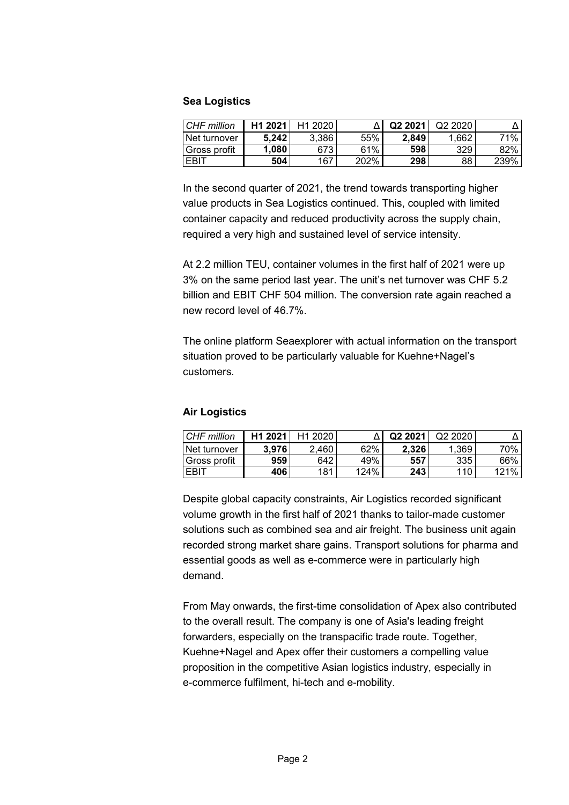#### **Sea Logistics**

| CHF million  | H <sub>1</sub> 2021 | H <sub>1</sub> 2020 |         | Q <sub>2</sub> 2021 | Q <sub>2</sub> 2020 |      |
|--------------|---------------------|---------------------|---------|---------------------|---------------------|------|
| Net turnover | 5.242               | 3.386               | 55%     | 2.849               | .662                | 71%  |
| Gross profit | 1.080               | 6731                | 61%     | 598                 | 329                 | 82%  |
| EBIT         | 504                 | 167                 | $202\%$ | 298                 | 88                  | 239% |

In the second quarter of 2021, the trend towards transporting higher value products in Sea Logistics continued. This, coupled with limited container capacity and reduced productivity across the supply chain, required a very high and sustained level of service intensity.

At 2.2 million TEU, container volumes in the first half of 2021 were up 3% on the same period last year. The unit's net turnover was CHF 5.2 billion and EBIT CHF 504 million. The conversion rate again reached a new record level of 46.7%.

The online platform Seaexplorer with actual information on the transport situation proved to be particularly valuable for Kuehne+Nagel's customers.

# **Air Logistics**

| CHF million  | H <sub>1</sub> 2021 | H <sub>1</sub> 2020 |      | Q <sub>2</sub> 2021 | Q22020 |       |
|--------------|---------------------|---------------------|------|---------------------|--------|-------|
| Net turnover | 3.976               | 2.460               | 62%  | 2.326               | 1.369  | 70% l |
| Gross profit | 959                 | 642                 | 49%  | 557                 | 335    | 66%   |
| EBIT         | 406                 | 181                 | 124% | 243                 | 110    | 121%  |

Despite global capacity constraints, Air Logistics recorded significant volume growth in the first half of 2021 thanks to tailor-made customer solutions such as combined sea and air freight. The business unit again recorded strong market share gains. Transport solutions for pharma and essential goods as well as e-commerce were in particularly high demand.

From May onwards, the first-time consolidation of Apex also contributed to the overall result. The company is one of Asia's leading freight forwarders, especially on the transpacific trade route. Together, Kuehne+Nagel and Apex offer their customers a compelling value proposition in the competitive Asian logistics industry, especially in e-commerce fulfilment, hi-tech and e-mobility.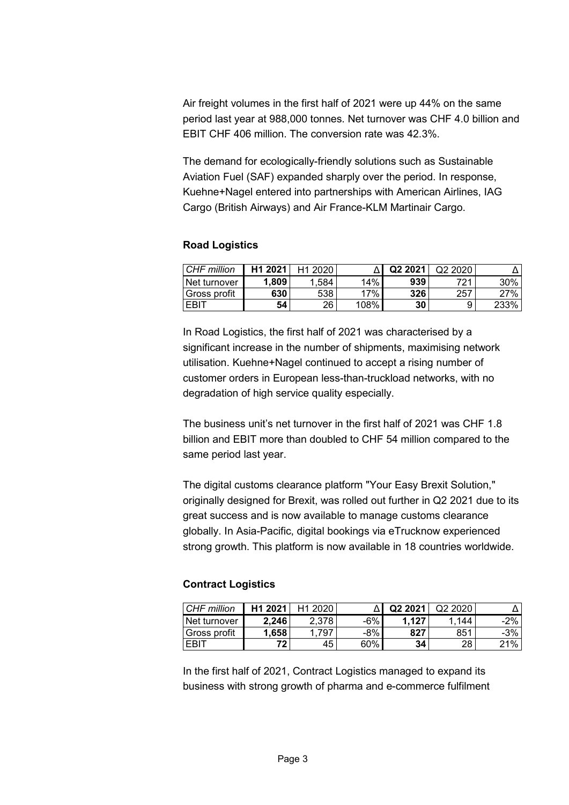Air freight volumes in the first half of 2021 were up 44% on the same period last year at 988,000 tonnes. Net turnover was CHF 4.0 billion and EBIT CHF 406 million. The conversion rate was 42.3%.

The demand for ecologically-friendly solutions such as Sustainable Aviation Fuel (SAF) expanded sharply over the period. In response, Kuehne+Nagel entered into partnerships with American Airlines, IAG Cargo (British Airways) and Air France-KLM Martinair Cargo.

#### **Road Logistics**

| CHF million         | H1 2021 | H <sub>1</sub> 2020 |      | Q <sub>2</sub> 2021 | Q <sub>2</sub> 2020 |      |
|---------------------|---------|---------------------|------|---------------------|---------------------|------|
| <b>Net turnover</b> | .809    | 1.584               | 14%  | 939                 | 721.                | 30%  |
| 'Gross profit       | 630     | 538                 | 17%  | 326                 | 257                 | 27%  |
| EBI <sup>-</sup>    | 54      | 26                  | 108% | 30                  |                     | 233% |

In Road Logistics, the first half of 2021 was characterised by a significant increase in the number of shipments, maximising network utilisation. Kuehne+Nagel continued to accept a rising number of customer orders in European less-than-truckload networks, with no degradation of high service quality especially.

The business unit's net turnover in the first half of 2021 was CHF 1.8 billion and EBIT more than doubled to CHF 54 million compared to the same period last year.

The digital customs clearance platform "Your Easy Brexit Solution," originally designed for Brexit, was rolled out further in Q2 2021 due to its great success and is now available to manage customs clearance globally. In Asia-Pacific, digital bookings via eTrucknow experienced strong growth. This platform is now available in 18 countries worldwide.

# **Contract Logistics**

| CHF million   | H <sub>1</sub> 2021 | H <sub>1</sub> 2020 |     | Q2 2021 | Q <sub>2</sub> 20 <sub>20</sub> |        |
|---------------|---------------------|---------------------|-----|---------|---------------------------------|--------|
| ⊥Net turnover | 2.246               | 2.378               | -6% | 1.127   | 144                             | 2%     |
| Gross profit  | 1.658               | .797                | -8% | 827     | 851                             | $-3\%$ |
| EBIT          | 72                  | 45                  | 60% | 34      | 28                              | 21%    |

In the first half of 2021, Contract Logistics managed to expand its business with strong growth of pharma and e-commerce fulfilment